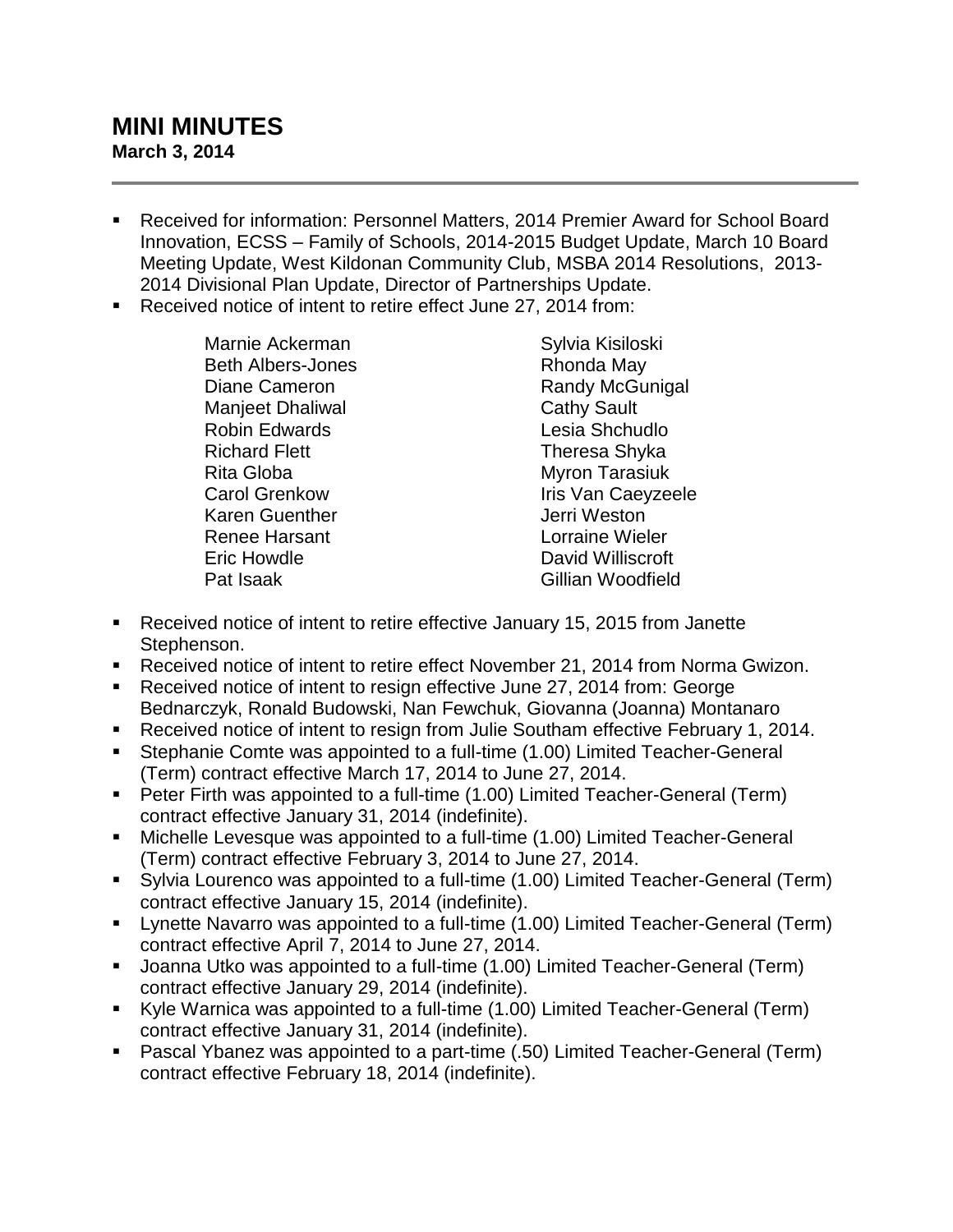## **MINI MINUTES March 3, 2014**

- Received for information: Personnel Matters, 2014 Premier Award for School Board Innovation, ECSS – Family of Schools, 2014-2015 Budget Update, March 10 Board Meeting Update, West Kildonan Community Club, MSBA 2014 Resolutions, 2013- 2014 Divisional Plan Update, Director of Partnerships Update.
- Received notice of intent to retire effect June 27, 2014 from:

Marnie Ackerman Beth Albers-Jones Diane Cameron Manjeet Dhaliwal Robin Edwards Richard Flett Rita Globa Carol Grenkow Karen Guenther Renee Harsant Eric Howdle Pat Isaak

Sylvia Kisiloski Rhonda May Randy McGunigal Cathy Sault Lesia Shchudlo Theresa Shyka Myron Tarasiuk Iris Van Caeyzeele Jerri Weston Lorraine Wieler David Williscroft Gillian Woodfield

- Received notice of intent to retire effective January 15, 2015 from Janette Stephenson.
- Received notice of intent to retire effect November 21, 2014 from Norma Gwizon.
- Received notice of intent to resign effective June 27, 2014 from: George Bednarczyk, Ronald Budowski, Nan Fewchuk, Giovanna (Joanna) Montanaro
- Received notice of intent to resign from Julie Southam effective February 1, 2014.
- Stephanie Comte was appointed to a full-time (1.00) Limited Teacher-General (Term) contract effective March 17, 2014 to June 27, 2014.
- Peter Firth was appointed to a full-time (1.00) Limited Teacher-General (Term) contract effective January 31, 2014 (indefinite).
- Michelle Levesque was appointed to a full-time (1.00) Limited Teacher-General (Term) contract effective February 3, 2014 to June 27, 2014.
- Sylvia Lourenco was appointed to a full-time (1.00) Limited Teacher-General (Term) contract effective January 15, 2014 (indefinite).
- **EXT** Lynette Navarro was appointed to a full-time (1.00) Limited Teacher-General (Term) contract effective April 7, 2014 to June 27, 2014.
- Joanna Utko was appointed to a full-time (1.00) Limited Teacher-General (Term) contract effective January 29, 2014 (indefinite).
- Kyle Warnica was appointed to a full-time (1.00) Limited Teacher-General (Term) contract effective January 31, 2014 (indefinite).
- Pascal Ybanez was appointed to a part-time (.50) Limited Teacher-General (Term) contract effective February 18, 2014 (indefinite).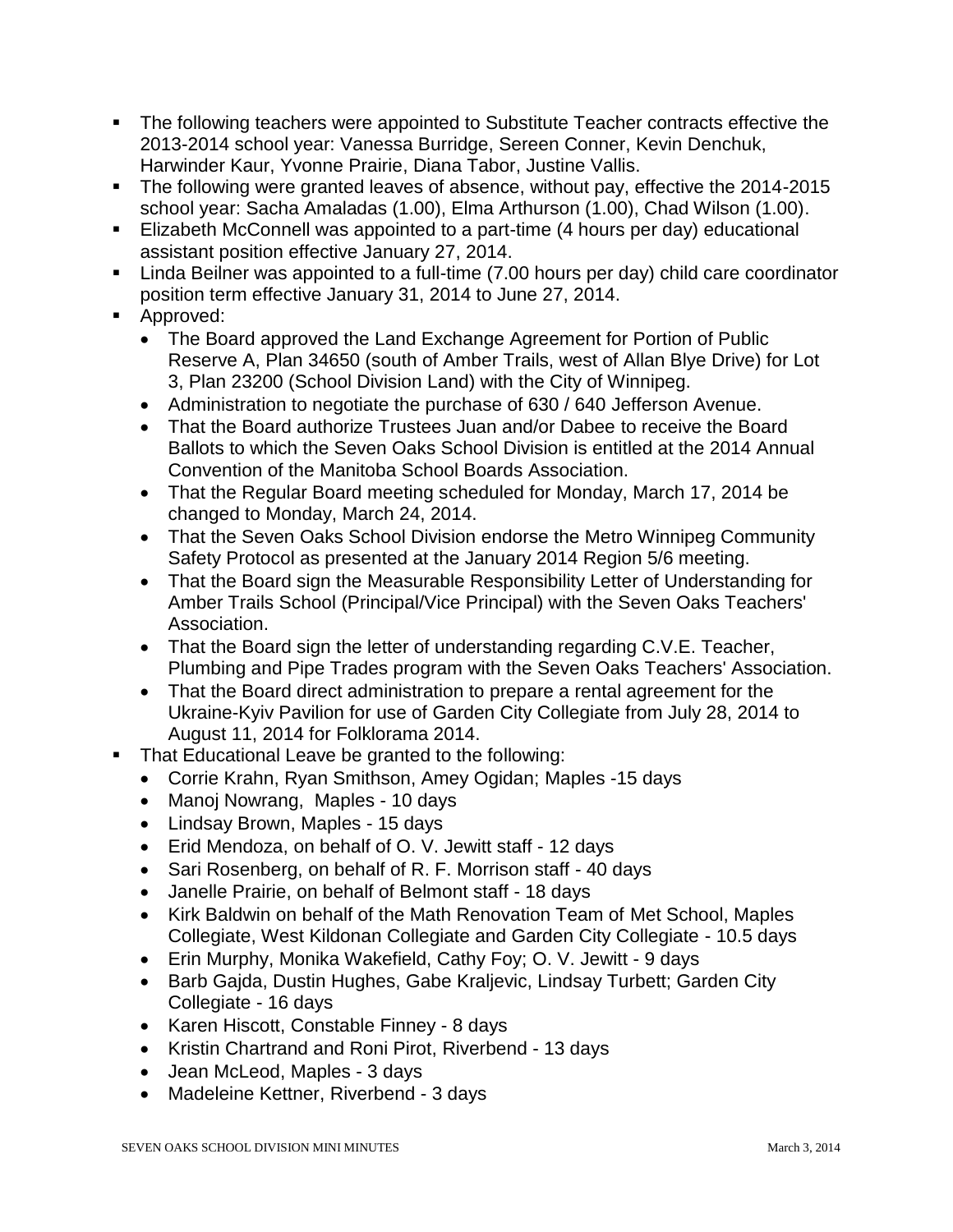- The following teachers were appointed to Substitute Teacher contracts effective the 2013-2014 school year: Vanessa Burridge, Sereen Conner, Kevin Denchuk, Harwinder Kaur, Yvonne Prairie, Diana Tabor, Justine Vallis.
- The following were granted leaves of absence, without pay, effective the 2014-2015 school year: Sacha Amaladas (1.00), Elma Arthurson (1.00), Chad Wilson (1.00).
- Elizabeth McConnell was appointed to a part-time (4 hours per day) educational assistant position effective January 27, 2014.
- **EXT** Linda Beilner was appointed to a full-time (7.00 hours per day) child care coordinator position term effective January 31, 2014 to June 27, 2014.
- **Approved:** 
	- The Board approved the Land Exchange Agreement for Portion of Public Reserve A, Plan 34650 (south of Amber Trails, west of Allan Blye Drive) for Lot 3, Plan 23200 (School Division Land) with the City of Winnipeg.
	- Administration to negotiate the purchase of 630 / 640 Jefferson Avenue.
	- That the Board authorize Trustees Juan and/or Dabee to receive the Board Ballots to which the Seven Oaks School Division is entitled at the 2014 Annual Convention of the Manitoba School Boards Association.
	- That the Regular Board meeting scheduled for Monday, March 17, 2014 be changed to Monday, March 24, 2014.
	- That the Seven Oaks School Division endorse the Metro Winnipeg Community Safety Protocol as presented at the January 2014 Region 5/6 meeting.
	- That the Board sign the Measurable Responsibility Letter of Understanding for Amber Trails School (Principal/Vice Principal) with the Seven Oaks Teachers' Association.
	- That the Board sign the letter of understanding regarding C.V.E. Teacher, Plumbing and Pipe Trades program with the Seven Oaks Teachers' Association.
	- That the Board direct administration to prepare a rental agreement for the Ukraine-Kyiv Pavilion for use of Garden City Collegiate from July 28, 2014 to August 11, 2014 for Folklorama 2014.
- That Educational Leave be granted to the following:
	- Corrie Krahn, Ryan Smithson, Amey Ogidan; Maples -15 days
	- Manoj Nowrang, Maples 10 days
	- Lindsay Brown, Maples 15 days
	- Erid Mendoza, on behalf of O. V. Jewitt staff 12 days
	- Sari Rosenberg, on behalf of R. F. Morrison staff 40 days
	- Janelle Prairie, on behalf of Belmont staff 18 days
	- Kirk Baldwin on behalf of the Math Renovation Team of Met School, Maples Collegiate, West Kildonan Collegiate and Garden City Collegiate - 10.5 days
	- Erin Murphy, Monika Wakefield, Cathy Foy; O. V. Jewitt 9 days
	- Barb Gajda, Dustin Hughes, Gabe Kraljevic, Lindsay Turbett; Garden City Collegiate - 16 days
	- Karen Hiscott, Constable Finney 8 days
	- Kristin Chartrand and Roni Pirot, Riverbend 13 days
	- Jean McLeod, Maples 3 days
	- Madeleine Kettner, Riverbend 3 days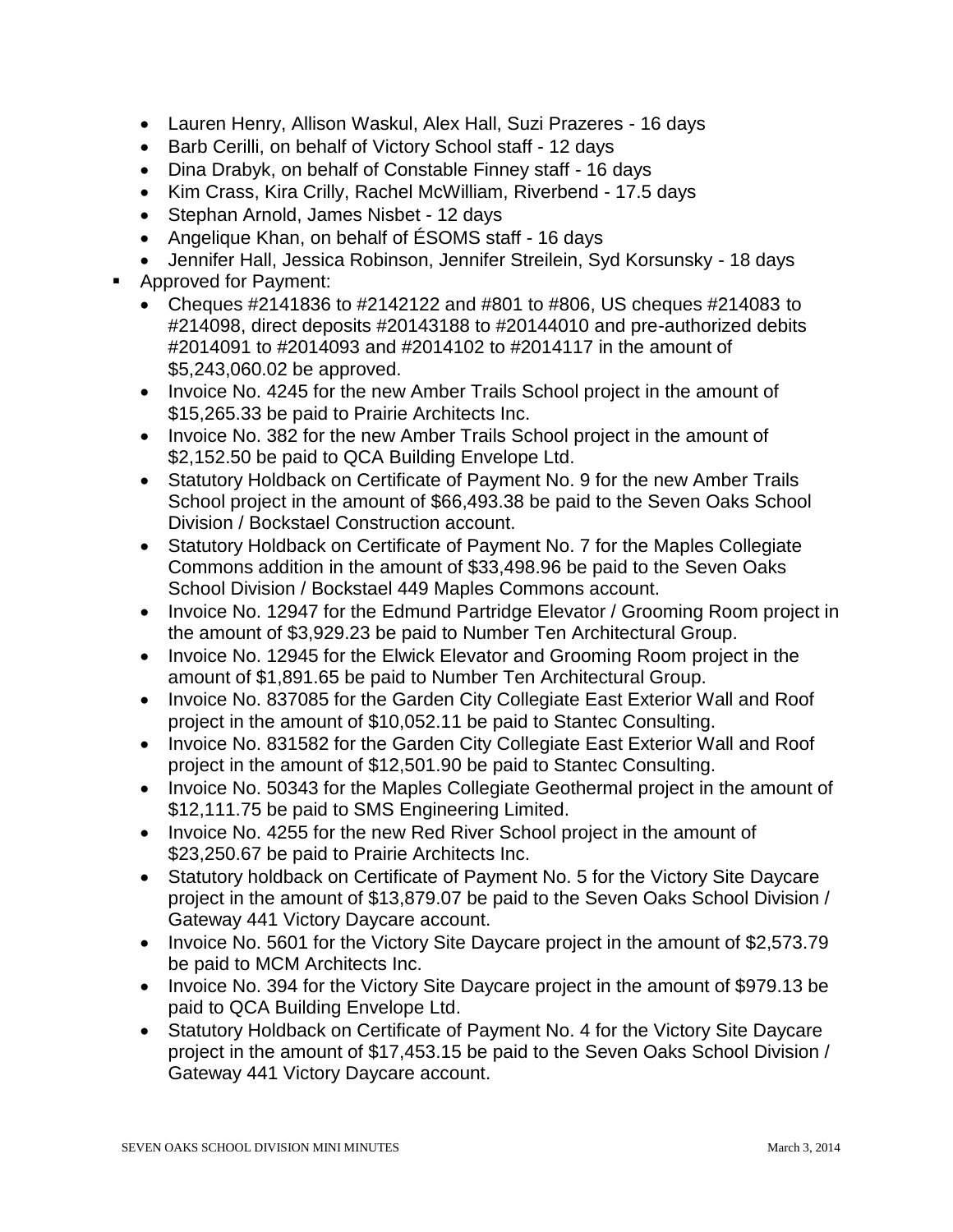- Lauren Henry, Allison Waskul, Alex Hall, Suzi Prazeres 16 days
- Barb Cerilli, on behalf of Victory School staff 12 days
- Dina Drabyk, on behalf of Constable Finney staff 16 days
- Kim Crass, Kira Crilly, Rachel McWilliam, Riverbend 17.5 days
- Stephan Arnold, James Nisbet 12 days
- Angelique Khan, on behalf of ESOMS staff 16 days
- Jennifer Hall, Jessica Robinson, Jennifer Streilein, Syd Korsunsky 18 days
- Approved for Payment:
	- Cheques  $\#2141836$  to  $\#2142122$  and  $\#801$  to  $\#806$ , US cheques  $\#214083$  to #214098, direct deposits #20143188 to #20144010 and pre-authorized debits #2014091 to #2014093 and #2014102 to #2014117 in the amount of \$5,243,060.02 be approved.
	- Invoice No. 4245 for the new Amber Trails School project in the amount of \$15,265.33 be paid to Prairie Architects Inc.
	- Invoice No. 382 for the new Amber Trails School project in the amount of \$2,152.50 be paid to QCA Building Envelope Ltd.
	- Statutory Holdback on Certificate of Payment No. 9 for the new Amber Trails School project in the amount of \$66,493.38 be paid to the Seven Oaks School Division / Bockstael Construction account.
	- Statutory Holdback on Certificate of Payment No. 7 for the Maples Collegiate Commons addition in the amount of \$33,498.96 be paid to the Seven Oaks School Division / Bockstael 449 Maples Commons account.
	- Invoice No. 12947 for the Edmund Partridge Elevator / Grooming Room project in the amount of \$3,929.23 be paid to Number Ten Architectural Group.
	- Invoice No. 12945 for the Elwick Elevator and Grooming Room project in the amount of \$1,891.65 be paid to Number Ten Architectural Group.
	- Invoice No. 837085 for the Garden City Collegiate East Exterior Wall and Roof project in the amount of \$10,052.11 be paid to Stantec Consulting.
	- Invoice No. 831582 for the Garden City Collegiate East Exterior Wall and Roof project in the amount of \$12,501.90 be paid to Stantec Consulting.
	- Invoice No. 50343 for the Maples Collegiate Geothermal project in the amount of \$12,111.75 be paid to SMS Engineering Limited.
	- Invoice No. 4255 for the new Red River School project in the amount of \$23,250.67 be paid to Prairie Architects Inc.
	- Statutory holdback on Certificate of Payment No. 5 for the Victory Site Daycare project in the amount of \$13,879.07 be paid to the Seven Oaks School Division / Gateway 441 Victory Daycare account.
	- Invoice No. 5601 for the Victory Site Daycare project in the amount of \$2,573.79 be paid to MCM Architects Inc.
	- Invoice No. 394 for the Victory Site Daycare project in the amount of \$979.13 be paid to QCA Building Envelope Ltd.
	- Statutory Holdback on Certificate of Payment No. 4 for the Victory Site Daycare project in the amount of \$17,453.15 be paid to the Seven Oaks School Division / Gateway 441 Victory Daycare account.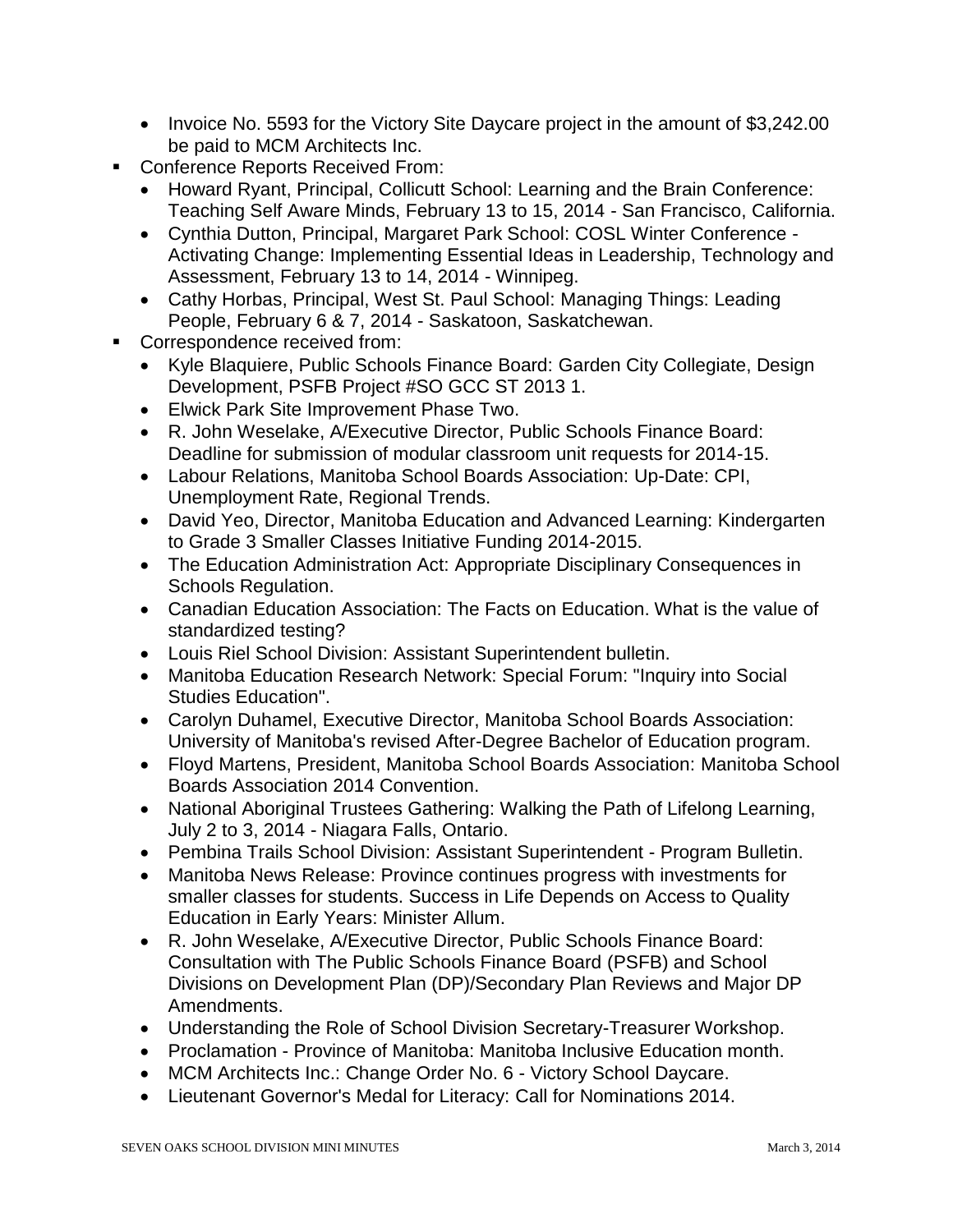- Invoice No. 5593 for the Victory Site Daycare project in the amount of \$3,242.00 be paid to MCM Architects Inc.
- Conference Reports Received From:
	- Howard Ryant, Principal, Collicutt School: Learning and the Brain Conference: Teaching Self Aware Minds, February 13 to 15, 2014 - San Francisco, California.
	- Cynthia Dutton, Principal, Margaret Park School: COSL Winter Conference Activating Change: Implementing Essential Ideas in Leadership, Technology and Assessment, February 13 to 14, 2014 - Winnipeg.
	- Cathy Horbas, Principal, West St. Paul School: Managing Things: Leading People, February 6 & 7, 2014 - Saskatoon, Saskatchewan.
- Correspondence received from:
	- Kyle Blaquiere, Public Schools Finance Board: Garden City Collegiate, Design Development, PSFB Project #SO GCC ST 2013 1.
	- Elwick Park Site Improvement Phase Two.
	- R. John Weselake, A/Executive Director, Public Schools Finance Board: Deadline for submission of modular classroom unit requests for 2014-15.
	- Labour Relations, Manitoba School Boards Association: Up-Date: CPI, Unemployment Rate, Regional Trends.
	- David Yeo, Director, Manitoba Education and Advanced Learning: Kindergarten to Grade 3 Smaller Classes Initiative Funding 2014-2015.
	- The Education Administration Act: Appropriate Disciplinary Consequences in Schools Regulation.
	- Canadian Education Association: The Facts on Education. What is the value of standardized testing?
	- Louis Riel School Division: Assistant Superintendent bulletin.
	- Manitoba Education Research Network: Special Forum: "Inquiry into Social Studies Education".
	- Carolyn Duhamel, Executive Director, Manitoba School Boards Association: University of Manitoba's revised After-Degree Bachelor of Education program.
	- Floyd Martens, President, Manitoba School Boards Association: Manitoba School Boards Association 2014 Convention.
	- National Aboriginal Trustees Gathering: Walking the Path of Lifelong Learning, July 2 to 3, 2014 - Niagara Falls, Ontario.
	- Pembina Trails School Division: Assistant Superintendent Program Bulletin.
	- Manitoba News Release: Province continues progress with investments for smaller classes for students. Success in Life Depends on Access to Quality Education in Early Years: Minister Allum.
	- R. John Weselake, A/Executive Director, Public Schools Finance Board: Consultation with The Public Schools Finance Board (PSFB) and School Divisions on Development Plan (DP)/Secondary Plan Reviews and Major DP Amendments.
	- Understanding the Role of School Division Secretary-Treasurer Workshop.
	- Proclamation Province of Manitoba: Manitoba Inclusive Education month.
	- MCM Architects Inc.: Change Order No. 6 Victory School Daycare.
	- Lieutenant Governor's Medal for Literacy: Call for Nominations 2014.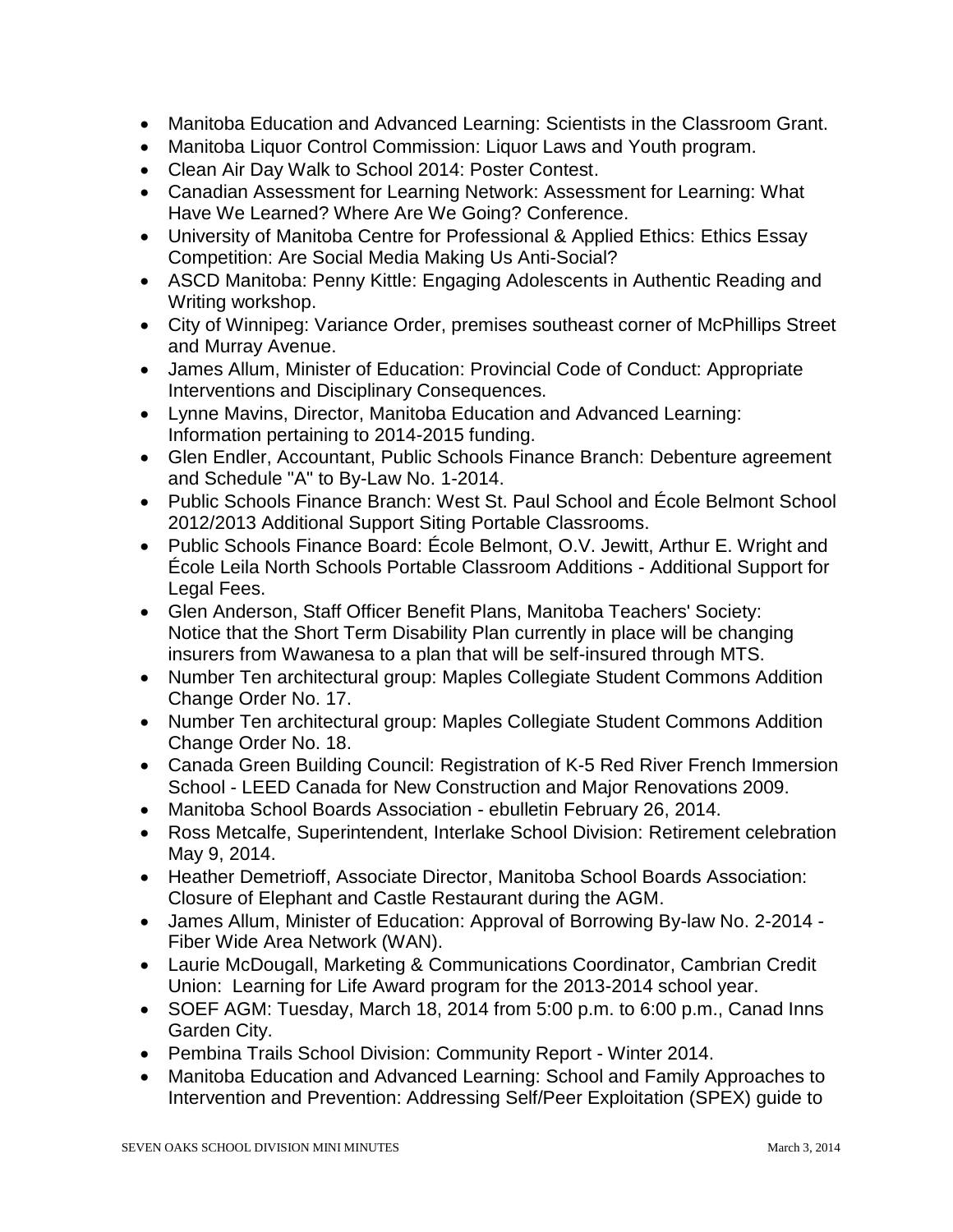- Manitoba Education and Advanced Learning: Scientists in the Classroom Grant.
- Manitoba Liquor Control Commission: Liquor Laws and Youth program.
- Clean Air Day Walk to School 2014: Poster Contest.
- Canadian Assessment for Learning Network: Assessment for Learning: What Have We Learned? Where Are We Going? Conference.
- University of Manitoba Centre for Professional & Applied Ethics: Ethics Essay Competition: Are Social Media Making Us Anti-Social?
- ASCD Manitoba: Penny Kittle: Engaging Adolescents in Authentic Reading and Writing workshop.
- City of Winnipeg: Variance Order, premises southeast corner of McPhillips Street and Murray Avenue.
- James Allum, Minister of Education: Provincial Code of Conduct: Appropriate Interventions and Disciplinary Consequences.
- Lynne Mavins, Director, Manitoba Education and Advanced Learning: Information pertaining to 2014-2015 funding.
- Glen Endler, Accountant, Public Schools Finance Branch: Debenture agreement and Schedule "A" to By-Law No. 1-2014.
- Public Schools Finance Branch: West St. Paul School and École Belmont School 2012/2013 Additional Support Siting Portable Classrooms.
- Public Schools Finance Board: École Belmont, O.V. Jewitt, Arthur E. Wright and École Leila North Schools Portable Classroom Additions - Additional Support for Legal Fees.
- Glen Anderson, Staff Officer Benefit Plans, Manitoba Teachers' Society: Notice that the Short Term Disability Plan currently in place will be changing insurers from Wawanesa to a plan that will be self-insured through MTS.
- Number Ten architectural group: Maples Collegiate Student Commons Addition Change Order No. 17.
- Number Ten architectural group: Maples Collegiate Student Commons Addition Change Order No. 18.
- Canada Green Building Council: Registration of K-5 Red River French Immersion School - LEED Canada for New Construction and Major Renovations 2009.
- Manitoba School Boards Association ebulletin February 26, 2014.
- Ross Metcalfe, Superintendent, Interlake School Division: Retirement celebration May 9, 2014.
- Heather Demetrioff, Associate Director, Manitoba School Boards Association: Closure of Elephant and Castle Restaurant during the AGM.
- James Allum, Minister of Education: Approval of Borrowing By-law No. 2-2014 Fiber Wide Area Network (WAN).
- Laurie McDougall, Marketing & Communications Coordinator, Cambrian Credit Union: Learning for Life Award program for the 2013-2014 school year.
- SOEF AGM: Tuesday, March 18, 2014 from 5:00 p.m. to 6:00 p.m., Canad Inns Garden City.
- Pembina Trails School Division: Community Report Winter 2014.
- Manitoba Education and Advanced Learning: School and Family Approaches to Intervention and Prevention: Addressing Self/Peer Exploitation (SPEX) guide to